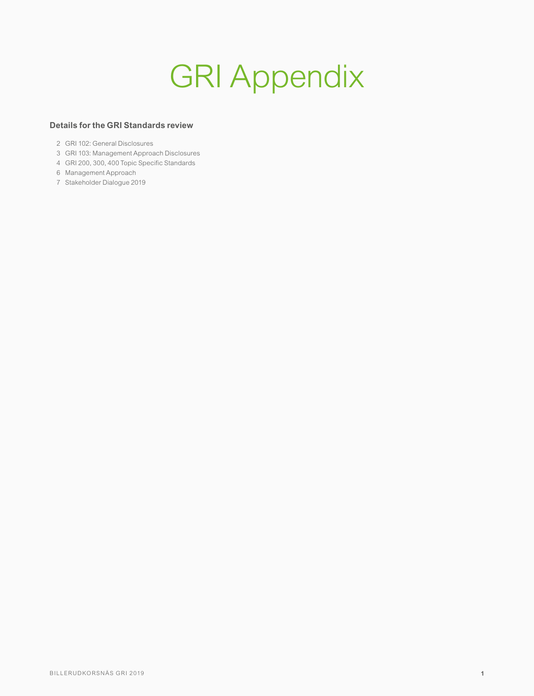# GRI Appendix

#### **Details for the GRI Standards review**

- GRI 102: General Disclosures
- GRI 103: Management Approach Disclosures
- GRI 200, 300, 400 Topic Specific Standards
- Management Approach
- Stakeholder Dialogue 2019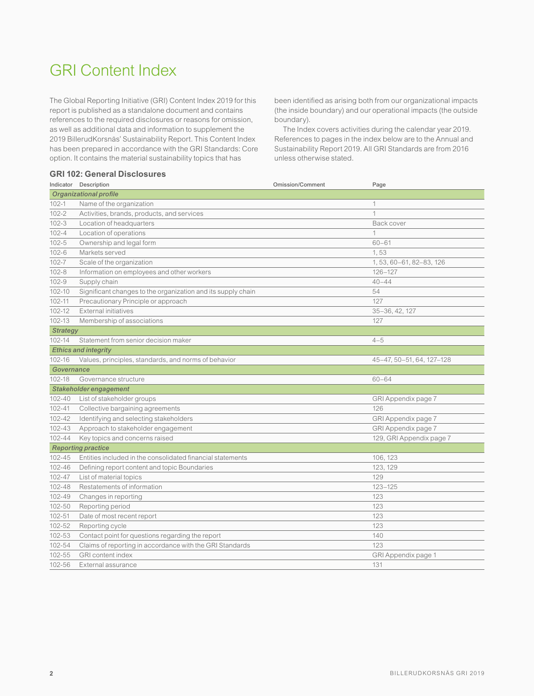## GRI Content Index

The Global Reporting Initiative (GRI) Content Index 2019 for this report is published as a standalone document and contains references to the required disclosures or reasons for omission, as well as additional data and information to supplement the 2019 BillerudKorsnäs' Sustainability Report. This Content Index has been prepared in accordance with the GRI Standards: Core option. It contains the material sustainability topics that has

#### **GRI 102: General Disclosures**

been identified as arising both from our organizational impacts (the inside boundary) and our operational impacts (the outside boundary).

The Index covers activities during the calendar year 2019. References to pages in the index below are to the Annual and Sustainability Report 2019. All GRI Standards are from 2016 unless otherwise stated.

|                           | Indicator Description                                        | <b>Omission/Comment</b> | Page                      |
|---------------------------|--------------------------------------------------------------|-------------------------|---------------------------|
|                           | <b>Organizational profile</b>                                |                         |                           |
| $102 - 1$                 | Name of the organization                                     |                         | 1                         |
| $102 - 2$                 | Activities, brands, products, and services                   |                         | $\mathbf{1}$              |
| $102 - 3$                 | Location of headquarters                                     |                         | Back cover                |
| $102 - 4$                 | Location of operations                                       |                         | 1                         |
| $102 - 5$                 | Ownership and legal form                                     |                         | $60 - 61$                 |
| $102 - 6$                 | Markets served                                               |                         | 1,53                      |
| $102 - 7$                 | Scale of the organization                                    |                         | 1, 53, 60-61, 82-83, 126  |
| $102 - 8$                 | Information on employees and other workers                   |                         | 126-127                   |
| $102 - 9$                 | Supply chain                                                 |                         | $40 - 44$                 |
| 102-10                    | Significant changes to the organization and its supply chain |                         | 54                        |
| $102 - 11$                | Precautionary Principle or approach                          |                         | 127                       |
| 102-12                    | <b>External initiatives</b>                                  |                         | 35-36, 42, 127            |
| 102-13                    | Membership of associations                                   |                         | 127                       |
| <b>Strategy</b>           |                                                              |                         |                           |
| 102-14                    | Statement from senior decision maker                         |                         | $4 - 5$                   |
|                           | <b>Ethics and integrity</b>                                  |                         |                           |
| 102-16                    | Values, principles, standards, and norms of behavior         |                         | 45-47, 50-51, 64, 127-128 |
| Governance                |                                                              |                         |                           |
| 102-18                    | Governance structure                                         |                         | $60 - 64$                 |
|                           | Stakeholder engagement                                       |                         |                           |
| $102 - 40$                | List of stakeholder groups                                   |                         | GRI Appendix page 7       |
| $102 - 41$                | Collective bargaining agreements                             |                         | 126                       |
| 102-42                    | Identifying and selecting stakeholders                       |                         | GRI Appendix page 7       |
| $102 - 43$                | Approach to stakeholder engagement                           |                         | GRI Appendix page 7       |
| 102-44                    | Key topics and concerns raised                               |                         | 129, GRI Appendix page 7  |
| <b>Reporting practice</b> |                                                              |                         |                           |
| $102 - 45$                | Entities included in the consolidated financial statements   |                         | 106, 123                  |
| 102-46                    | Defining report content and topic Boundaries                 |                         | 123, 129                  |
| 102-47                    | List of material topics                                      |                         | 129                       |
| 102-48                    | Restatements of information                                  |                         | $123 - 125$               |
| 102-49                    | Changes in reporting                                         |                         | 123                       |
| 102-50                    | Reporting period                                             |                         | 123                       |
| 102-51                    | Date of most recent report                                   |                         | 123                       |
| 102-52                    | Reporting cycle                                              |                         | 123                       |
| 102-53                    | Contact point for questions regarding the report             |                         | 140                       |
| 102-54                    | Claims of reporting in accordance with the GRI Standards     |                         | 123                       |
| 102-55                    | <b>GRI</b> content index                                     |                         | GRI Appendix page 1       |
| 102-56                    | External assurance                                           |                         | 131                       |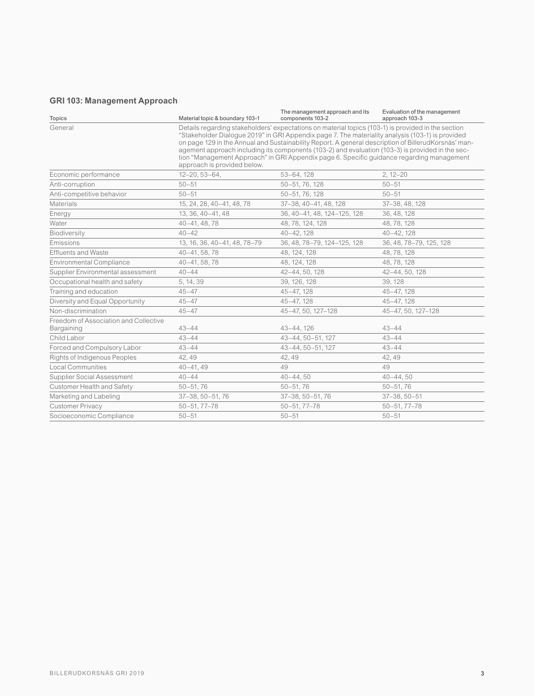### **GRI 103: Management Approach**

| <b>Topics</b>                                       | Material topic & boundary 103-1                                                                                                                                                                                                                                                                                                                                                                                                                                                                                                               | The management approach and its<br>components 103-2 | Evaluation of the management<br>approach 103-3 |
|-----------------------------------------------------|-----------------------------------------------------------------------------------------------------------------------------------------------------------------------------------------------------------------------------------------------------------------------------------------------------------------------------------------------------------------------------------------------------------------------------------------------------------------------------------------------------------------------------------------------|-----------------------------------------------------|------------------------------------------------|
| General                                             | Details regarding stakeholders' expectations on material topics (103-1) is provided in the section<br>"Stakeholder Dialogue 2019" in GRI Appendix page 7. The materiality analysis (103-1) is provided<br>on page 129 in the Annual and Sustainability Report. A general description of BillerudKorsnäs' man-<br>agement approach including its components (103-2) and evaluation (103-3) is provided in the sec-<br>tion "Management Approach" in GRI Appendix page 6. Specific guidance regarding management<br>approach is provided below. |                                                     |                                                |
| Economic performance                                | $12 - 20, 53 - 64,$                                                                                                                                                                                                                                                                                                                                                                                                                                                                                                                           | 53-64, 128                                          | $2, 12 - 20$                                   |
| Anti-corruption                                     | $50 - 51$                                                                                                                                                                                                                                                                                                                                                                                                                                                                                                                                     | 50-51, 76, 128                                      | $50 - 51$                                      |
| Anti-competitive behavior                           | $50 - 51$                                                                                                                                                                                                                                                                                                                                                                                                                                                                                                                                     | 50-51, 76, 128                                      | $50 - 51$                                      |
| <b>Materials</b>                                    | 15, 24, 28, 40-41, 48, 78                                                                                                                                                                                                                                                                                                                                                                                                                                                                                                                     | 37-38, 40-41, 48, 128                               | 37-38, 48, 128                                 |
| Energy                                              | 13.36.40-41.48                                                                                                                                                                                                                                                                                                                                                                                                                                                                                                                                | 36, 40-41, 48, 124-125, 128                         | 36, 48, 128                                    |
| Water                                               | 40-41, 48, 78                                                                                                                                                                                                                                                                                                                                                                                                                                                                                                                                 | 48, 78, 124, 128                                    | 48, 78, 128                                    |
| Biodiversity                                        | $40 - 42$                                                                                                                                                                                                                                                                                                                                                                                                                                                                                                                                     | $40 - 42, 128$                                      | $40 - 42, 128$                                 |
| Emissions                                           | 13, 16, 36, 40-41, 48, 78-79                                                                                                                                                                                                                                                                                                                                                                                                                                                                                                                  | 36, 48, 78-79, 124-125, 128                         | 36, 48, 78-79, 125, 128                        |
| <b>Effluents and Waste</b>                          | 40-41, 58, 78                                                                                                                                                                                                                                                                                                                                                                                                                                                                                                                                 | 48, 124, 128                                        | 48, 78, 128                                    |
| <b>Environmental Compliance</b>                     | 40-41, 58, 78                                                                                                                                                                                                                                                                                                                                                                                                                                                                                                                                 | 48, 124, 128                                        | 48, 78, 128                                    |
| Supplier Environmental assessment                   | $40 - 44$                                                                                                                                                                                                                                                                                                                                                                                                                                                                                                                                     | 42-44, 50, 128                                      | 42-44, 50, 128                                 |
| Occupational health and safety                      | 5, 14, 39                                                                                                                                                                                                                                                                                                                                                                                                                                                                                                                                     | 39, 126, 128                                        | 39.128                                         |
| Training and education                              | $45 - 47$                                                                                                                                                                                                                                                                                                                                                                                                                                                                                                                                     | 45-47, 128                                          | 45-47, 128                                     |
| Diversity and Equal Opportunity                     | $45 - 47$                                                                                                                                                                                                                                                                                                                                                                                                                                                                                                                                     | 45-47, 128                                          | 45-47, 128                                     |
| Non-discrimination                                  | $45 - 47$                                                                                                                                                                                                                                                                                                                                                                                                                                                                                                                                     | 45-47, 50, 127-128                                  | 45-47, 50, 127-128                             |
| Freedom of Association and Collective<br>Bargaining | $43 - 44$                                                                                                                                                                                                                                                                                                                                                                                                                                                                                                                                     | 43-44.126                                           | $43 - 44$                                      |
| Child Labor                                         | $43 - 44$                                                                                                                                                                                                                                                                                                                                                                                                                                                                                                                                     | 43-44, 50-51, 127                                   | $43 - 44$                                      |
| Forced and Compulsory Labor                         | $43 - 44$                                                                                                                                                                                                                                                                                                                                                                                                                                                                                                                                     | 43-44, 50-51, 127                                   | $43 - 44$                                      |
| Rights of Indigenous Peoples                        | 42, 49                                                                                                                                                                                                                                                                                                                                                                                                                                                                                                                                        | 42, 49                                              | 42, 49                                         |
| <b>Local Communities</b>                            | $40 - 41.49$                                                                                                                                                                                                                                                                                                                                                                                                                                                                                                                                  | 49                                                  | 49                                             |
| Supplier Social Assessment                          | $40 - 44$                                                                                                                                                                                                                                                                                                                                                                                                                                                                                                                                     | $40 - 44,50$                                        | $40 - 44,50$                                   |
| Customer Health and Safety                          | $50 - 51, 76$                                                                                                                                                                                                                                                                                                                                                                                                                                                                                                                                 | $50 - 51, 76$                                       | $50 - 51, 76$                                  |
| Marketing and Labeling                              | 37-38, 50-51, 76                                                                                                                                                                                                                                                                                                                                                                                                                                                                                                                              | 37-38, 50-51, 76                                    | $37 - 38, 50 - 51$                             |
| <b>Customer Privacy</b>                             | $50 - 51, 77 - 78$                                                                                                                                                                                                                                                                                                                                                                                                                                                                                                                            | $50 - 51, 77 - 78$                                  | $50 - 51, 77 - 78$                             |
| Socioeconomic Compliance                            | $50 - 51$                                                                                                                                                                                                                                                                                                                                                                                                                                                                                                                                     | $50 - 51$                                           | $50 - 51$                                      |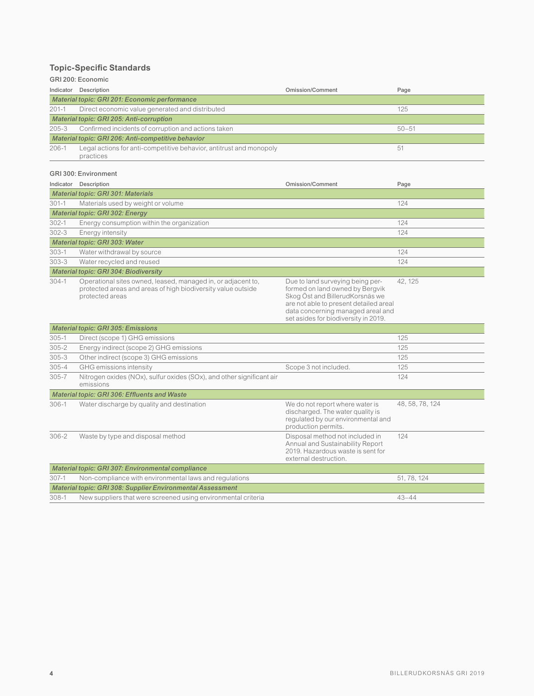#### **Topic-Specific Standards**

#### GRI 200: Economic

| Indicator                                          | Description                                                                      | Omission/Comment | Page      |  |
|----------------------------------------------------|----------------------------------------------------------------------------------|------------------|-----------|--|
|                                                    | Material topic: GRI 201: Economic performance                                    |                  |           |  |
| $201 - 1$                                          | Direct economic value generated and distributed                                  |                  | 125       |  |
| Material topic: GRI 205: Anti-corruption           |                                                                                  |                  |           |  |
| $205 - 3$                                          | Confirmed incidents of corruption and actions taken                              |                  | $50 - 51$ |  |
| Material topic: GRI 206: Anti-competitive behavior |                                                                                  |                  |           |  |
| $206 - 1$                                          | Legal actions for anti-competitive behavior, antitrust and monopoly<br>practices |                  | 51        |  |

#### GRI 300: Environment

| Indicator                                           | Description                                                                                                                                     | Omission/Comment                                                                                                                                                                                                              | Page            |
|-----------------------------------------------------|-------------------------------------------------------------------------------------------------------------------------------------------------|-------------------------------------------------------------------------------------------------------------------------------------------------------------------------------------------------------------------------------|-----------------|
| <b>Material topic: GRI 301: Materials</b>           |                                                                                                                                                 |                                                                                                                                                                                                                               |                 |
| $301 - 1$                                           | Materials used by weight or volume                                                                                                              |                                                                                                                                                                                                                               | 124             |
|                                                     | Material topic: GRI 302: Energy                                                                                                                 |                                                                                                                                                                                                                               |                 |
| $302 - 1$                                           | Energy consumption within the organization                                                                                                      |                                                                                                                                                                                                                               | 124             |
| $302 - 3$                                           | Energy intensity                                                                                                                                |                                                                                                                                                                                                                               | 124             |
|                                                     | Material topic: GRI 303: Water                                                                                                                  |                                                                                                                                                                                                                               |                 |
| $303 - 1$                                           | Water withdrawal by source                                                                                                                      |                                                                                                                                                                                                                               | 124             |
| $303 - 3$                                           | Water recycled and reused                                                                                                                       |                                                                                                                                                                                                                               | 124             |
|                                                     | <b>Material topic: GRI 304: Biodiversity</b>                                                                                                    |                                                                                                                                                                                                                               |                 |
| $304-1$                                             | Operational sites owned, leased, managed in, or adjacent to,<br>protected areas and areas of high biodiversity value outside<br>protected areas | Due to land surveying being per-<br>formed on land owned by Bergvik<br>Skog Öst and BillerudKorsnäs we<br>are not able to present detailed areal<br>data concerning managed areal and<br>set asides for biodiversity in 2019. | 42, 125         |
|                                                     | <b>Material topic: GRI 305: Emissions</b>                                                                                                       |                                                                                                                                                                                                                               |                 |
| $305 - 1$                                           | Direct (scope 1) GHG emissions                                                                                                                  |                                                                                                                                                                                                                               | 125             |
| $305 - 2$                                           | Energy indirect (scope 2) GHG emissions                                                                                                         |                                                                                                                                                                                                                               | 125             |
| $305 - 3$                                           | Other indirect (scope 3) GHG emissions                                                                                                          |                                                                                                                                                                                                                               | 125             |
| $305 - 4$                                           | GHG emissions intensity                                                                                                                         | Scope 3 not included.                                                                                                                                                                                                         | 125             |
| $305 - 7$                                           | Nitrogen oxides (NOx), sulfur oxides (SOx), and other significant air<br>emissions                                                              |                                                                                                                                                                                                                               | 124             |
| <b>Material topic: GRI 306: Effluents and Waste</b> |                                                                                                                                                 |                                                                                                                                                                                                                               |                 |
| $306-1$                                             | Water discharge by quality and destination                                                                                                      | We do not report where water is<br>discharged. The water quality is                                                                                                                                                           | 48, 58, 78, 124 |

306-2 Waste by type and disposal method Disposal method not included in

307-1 Non-compliance with environmental laws and regulations 51, 78, 124

308-1 New suppliers that were screened using environmental criteria 43–44

*Material topic: GRI 307: Environmental compliance*

*Material topic: GRI 308: Supplier Environmental Assessment*

regulated by our environmental and

124

Annual and Sustainability Report 2019. Hazardous waste is sent for

production permits.

external destruction.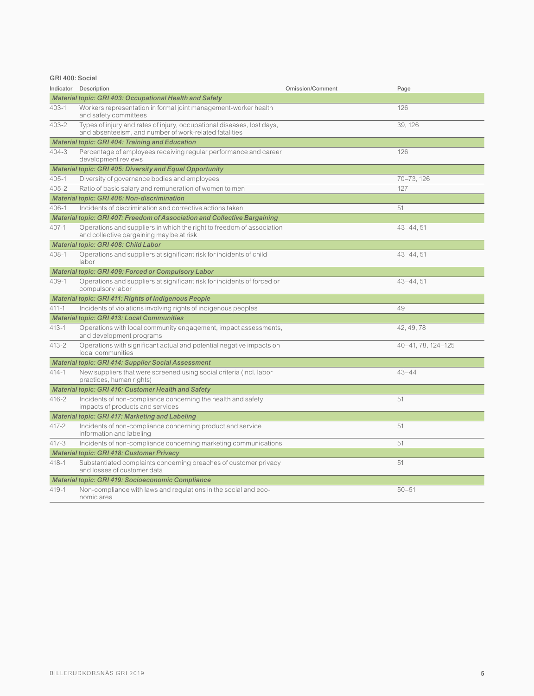GRI 400: Social

| Indicator                                           | Description                                                                                                                      | <b>Omission/Comment</b> | Page               |  |  |
|-----------------------------------------------------|----------------------------------------------------------------------------------------------------------------------------------|-------------------------|--------------------|--|--|
|                                                     | Material topic: GRI 403: Occupational Health and Safety                                                                          |                         |                    |  |  |
| $403 - 1$                                           | Workers representation in formal joint management-worker health<br>and safety committees                                         |                         | 126                |  |  |
| 403-2                                               | Types of injury and rates of injury, occupational diseases, lost days,<br>and absenteeism, and number of work-related fatalities |                         | 39, 126            |  |  |
|                                                     | <b>Material topic: GRI 404: Training and Education</b>                                                                           |                         |                    |  |  |
| $404 - 3$                                           | Percentage of employees receiving regular performance and career<br>development reviews                                          |                         | 126                |  |  |
|                                                     | Material topic: GRI 405: Diversity and Equal Opportunity                                                                         |                         |                    |  |  |
| $405 - 1$                                           | Diversity of governance bodies and employees                                                                                     |                         | 70-73, 126         |  |  |
| $405 - 2$                                           | Ratio of basic salary and remuneration of women to men                                                                           |                         | 127                |  |  |
|                                                     | Material topic: GRI 406: Non-discrimination                                                                                      |                         |                    |  |  |
| $406 - 1$                                           | Incidents of discrimination and corrective actions taken                                                                         |                         | 51                 |  |  |
|                                                     | <b>Material topic: GRI 407: Freedom of Association and Collective Bargaining</b>                                                 |                         |                    |  |  |
| $407 - 1$                                           | Operations and suppliers in which the right to freedom of association<br>and collective bargaining may be at risk                |                         | $43 - 44,51$       |  |  |
|                                                     | Material topic: GRI 408: Child Labor                                                                                             |                         |                    |  |  |
| $408 - 1$                                           | Operations and suppliers at significant risk for incidents of child<br>labor                                                     |                         | $43 - 44, 51$      |  |  |
|                                                     | Material topic: GRI 409: Forced or Compulsory Labor                                                                              |                         |                    |  |  |
| $409 - 1$                                           | Operations and suppliers at significant risk for incidents of forced or<br>compulsory labor                                      |                         | $43 - 44, 51$      |  |  |
|                                                     | Material topic: GRI 411: Rights of Indigenous People                                                                             |                         |                    |  |  |
| $411 - 1$                                           | Incidents of violations involving rights of indigenous peoples                                                                   |                         | 49                 |  |  |
|                                                     | <b>Material topic: GRI 413: Local Communities</b>                                                                                |                         |                    |  |  |
| $413 - 1$                                           | Operations with local community engagement, impact assessments,<br>and development programs                                      |                         | 42, 49, 78         |  |  |
| $413 - 2$                                           | Operations with significant actual and potential negative impacts on<br>local communities                                        |                         | 40-41, 78, 124-125 |  |  |
|                                                     | <b>Material topic: GRI 414: Supplier Social Assessment</b>                                                                       |                         |                    |  |  |
| $414 - 1$                                           | New suppliers that were screened using social criteria (incl. labor<br>practices, human rights)                                  |                         | $43 - 44$          |  |  |
| Material topic: GRI 416: Customer Health and Safety |                                                                                                                                  |                         |                    |  |  |
| $416 - 2$                                           | Incidents of non-compliance concerning the health and safety<br>impacts of products and services                                 |                         | 51                 |  |  |
| Material topic: GRI 417: Marketing and Labeling     |                                                                                                                                  |                         |                    |  |  |
| $417 - 2$                                           | Incidents of non-compliance concerning product and service<br>information and labeling                                           |                         | 51                 |  |  |
| $417 - 3$                                           | Incidents of non-compliance concerning marketing communications                                                                  |                         | 51                 |  |  |
| <b>Material topic: GRI 418: Customer Privacy</b>    |                                                                                                                                  |                         |                    |  |  |
| $418 - 1$                                           | Substantiated complaints concerning breaches of customer privacy<br>and losses of customer data                                  |                         | 51                 |  |  |
| Material topic: GRI 419: Socioeconomic Compliance   |                                                                                                                                  |                         |                    |  |  |
| $419 - 1$                                           | Non-compliance with laws and regulations in the social and eco-<br>nomic area                                                    |                         | $50 - 51$          |  |  |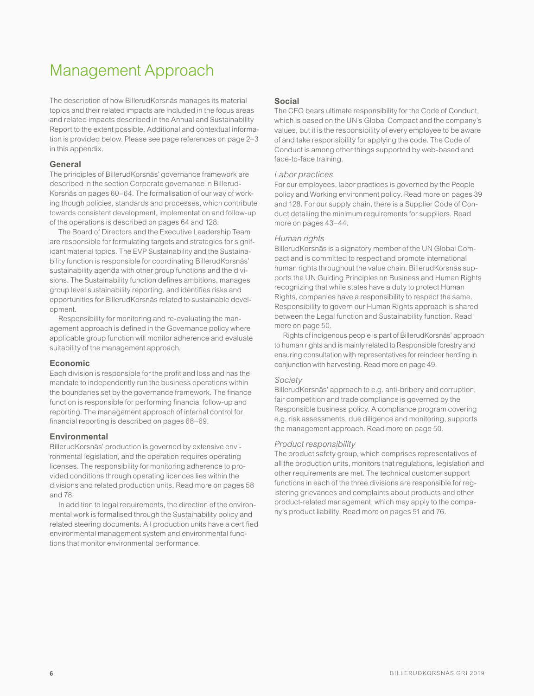## Management Approach

The description of how BillerudKorsnäs manages its material topics and their related impacts are included in the focus areas and related impacts described in the Annual and Sustainability Report to the extent possible. Additional and contextual information is provided below. Please see page references on page 2–3 in this appendix.

#### **General**

The principles of BillerudKorsnäs' governance framework are described in the section Corporate governance in Billerud-Korsnäs on pages 60–64. The formalisation of our way of working though policies, standards and processes, which contribute towards consistent development, implementation and follow-up of the operations is described on pages 64 and 128.

The Board of Directors and the Executive Leadership Team are responsible for formulating targets and strategies for significant material topics. The EVP Sustainability and the Sustainability function is responsible for coordinating BillerudKorsnäs' sustainability agenda with other group functions and the divisions. The Sustainability function defines ambitions, manages group level sustainability reporting, and identifies risks and opportunities for BillerudKorsnäs related to sustainable development.

Responsibility for monitoring and re-evaluating the management approach is defined in the Governance policy where applicable group function will monitor adherence and evaluate suitability of the management approach.

#### **Economic**

Each division is responsible for the profit and loss and has the mandate to independently run the business operations within the boundaries set by the governance framework. The finance function is responsible for performing financial follow-up and reporting. The management approach of internal control for financial reporting is described on pages 68–69.

#### **Environmental**

BillerudKorsnäs' production is governed by extensive environmental legislation, and the operation requires operating licenses. The responsibility for monitoring adherence to provided conditions through operating licences lies within the divisions and related production units. Read more on pages 58 and 78.

In addition to legal requirements, the direction of the environmental work is formalised through the Sustainability policy and related steering documents. All production units have a certified environmental management system and environmental functions that monitor environmental performance.

#### **Social**

The CEO bears ultimate responsibility for the Code of Conduct, which is based on the UN's Global Compact and the company's values, but it is the responsibility of every employee to be aware of and take responsibility for applying the code. The Code of Conduct is among other things supported by web-based and face-to-face training.

#### *Labor practices*

For our employees, labor practices is governed by the People policy and Working environment policy. Read more on pages 39 and 128. For our supply chain, there is a Supplier Code of Conduct detailing the minimum requirements for suppliers. Read more on pages 43–44.

#### *Human rights*

BillerudKorsnäs is a signatory member of the UN Global Compact and is committed to respect and promote international human rights throughout the value chain. BillerudKorsnäs supports the UN Guiding Principles on Business and Human Rights recognizing that while states have a duty to protect Human Rights, companies have a responsibility to respect the same. Responsibility to govern our Human Rights approach is shared between the Legal function and Sustainability function. Read more on page 50.

Rights of indigenous people is part of BillerudKorsnäs' approach to human rights and is mainly related to Responsible forestry and ensuring consultation with representatives for reindeer herding in conjunction with harvesting. Read more on page 49.

#### *Society*

BillerudKorsnäs' approach to e.g. anti-bribery and corruption, fair competition and trade compliance is governed by the Responsible business policy. A compliance program covering e.g. risk assessments, due diligence and monitoring, supports the management approach. Read more on page 50.

#### *Product responsibility*

The product safety group, which comprises representatives of all the production units, monitors that regulations, legislation and other requirements are met. The technical customer support functions in each of the three divisions are responsible for registering grievances and complaints about products and other product-related management, which may apply to the company's product liability. Read more on pages 51 and 76.